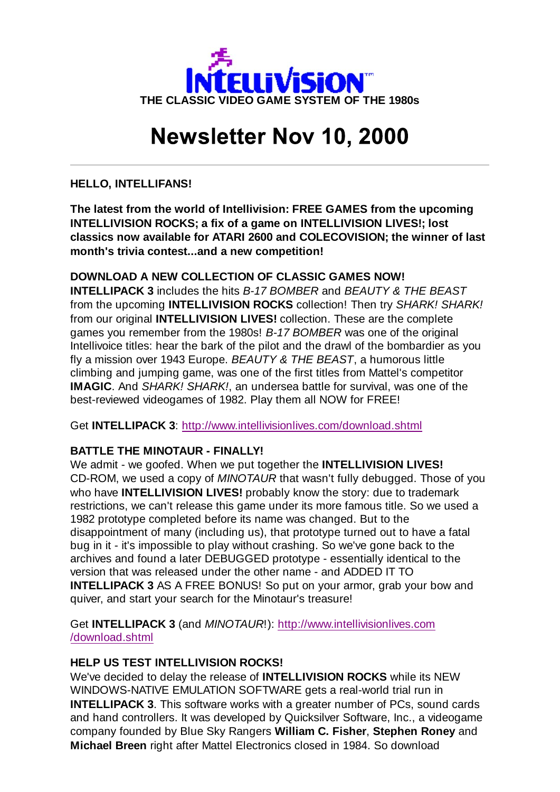

# **Newsletter Nov 10, 2000**

**HELLO, INTELLIFANS!**

**The latest from the world of Intellivision: FREE GAMES from the upcoming INTELLIVISION ROCKS; a fix of a game on INTELLIVISION LIVES!; lost classics now available for ATARI 2600 and COLECOVISION; the winner of last month's trivia contest...and a new competition!**

## **DOWNLOAD A NEW COLLECTION OF CLASSIC GAMES NOW!**

**INTELLIPACK 3** includes the hits *B-17 BOMBER* and *BEAUTY & THE BEAST* from the upcoming **INTELLIVISION ROCKS** collection! Then try *SHARK! SHARK!* from our original **INTELLIVISION LIVES!** collection. These are the complete games you remember from the 1980s! *B-17 BOMBER* was one of the original Intellivoice titles: hear the bark of the pilot and the drawl of the bombardier as you fly a mission over 1943 Europe. *BEAUTY & THE BEAST*, a humorous little climbing and jumping game, was one of the first titles from Mattel's competitor **IMAGIC**. And *SHARK! SHARK!*, an undersea battle for survival, was one of the best-reviewed videogames of 1982. Play them all NOW for FREE!

Get **INTELLIPACK 3**: http://www.intellivisionlives.com/download.shtml

## **BATTLE THE MINOTAUR - FINALLY!**

We admit - we goofed. When we put together the **INTELLIVISION LIVES!** CD-ROM, we used a copy of *MINOTAUR* that wasn't fully debugged. Those of you who have **INTELLIVISION LIVES!** probably know the story: due to trademark restrictions, we can't release this game under its more famous title. So we used a 1982 prototype completed before its name was changed. But to the disappointment of many (including us), that prototype turned out to have a fatal bug in it - it's impossible to play without crashing. So we've gone back to the archives and found a later DEBUGGED prototype - essentially identical to the version that was released under the other name - and ADDED IT TO **INTELLIPACK 3** AS A FREE BONUS! So put on your armor, grab your bow and quiver, and start your search for the Minotaur's treasure!

Get **INTELLIPACK 3** (and *MINOTAUR*!): http://www.intellivisionlives.com /download.shtml

#### **HELP US TEST INTELLIVISION ROCKS!**

We've decided to delay the release of **INTELLIVISION ROCKS** while its NEW WINDOWS-NATIVE EMULATION SOFTWARE gets a real-world trial run in **INTELLIPACK 3**. This software works with a greater number of PCs, sound cards and hand controllers. It was developed by Quicksilver Software, Inc., a videogame company founded by Blue Sky Rangers **William C. Fisher**, **Stephen Roney** and **Michael Breen** right after Mattel Electronics closed in 1984. So download